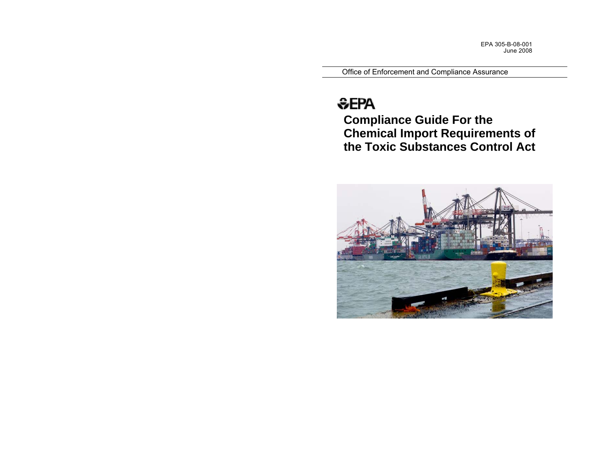EPA 305-B-08-001 June 2008

Office of Enforcement and Compliance Assuran ce

# <del>©</del>EPA

**Compliance Guide For the Chemical Import Requirements of the Toxic Substances Control Act** 

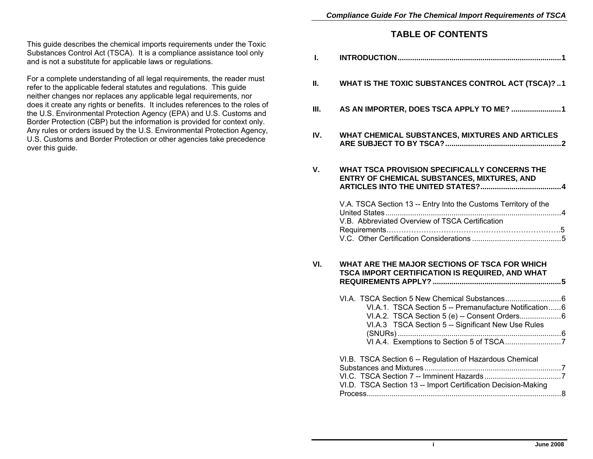### **TABLE OF CONTENTS**

| L.   |                                                                                                                                                                |  |
|------|----------------------------------------------------------------------------------------------------------------------------------------------------------------|--|
| II.  | WHAT IS THE TOXIC SUBSTANCES CONTROL ACT (TSCA)? 1                                                                                                             |  |
| III. | AS AN IMPORTER, DOES TSCA APPLY TO ME? 1                                                                                                                       |  |
| IV.  | WHAT CHEMICAL SUBSTANCES, MIXTURES AND ARTICLES                                                                                                                |  |
| V.   | <b>WHAT TSCA PROVISION SPECIFICALLY CONCERNS THE</b><br>ENTRY OF CHEMICAL SUBSTANCES, MIXTURES, AND                                                            |  |
|      | V.A. TSCA Section 13 -- Entry Into the Customs Territory of the<br>V.B. Abbreviated Overview of TSCA Certification                                             |  |
| VI.  | WHAT ARE THE MAJOR SECTIONS OF TSCA FOR WHICH<br>TSCA IMPORT CERTIFICATION IS REQUIRED, AND WHAT                                                               |  |
|      | VI.A.1. TSCA Section 5 -- Premanufacture Notification6<br>VI.A.2. TSCA Section 5 (e) -- Consent Orders 6<br>VI.A.3 TSCA Section 5 -- Significant New Use Rules |  |
|      | VI.B. TSCA Section 6 -- Regulation of Hazardous Chemical<br>VI.D. TSCA Section 13 -- Import Certification Decision-Making                                      |  |

This guide describes the chemical imports requirements under the Toxic Substances Control Act (TSCA). It is a compliance assistance tool only and is not a substitute for applicable laws or regulations.

For a complete understanding of all legal requirements, the reader must refer to the applicable federal statutes and regulations. This guide neither changes nor replaces any applicable legal requirements, nor does it create any rights or benefits. It includes references to the roles of the U.S. Environmental Protection Agency (EPA) and U.S. Customs and Border Protection (CBP) but the information is provided for context only. Any rules or orders issued by the U.S. Environmental Protection Agency, U.S. Customs and Border Protection or other agencies take precedence over this guide.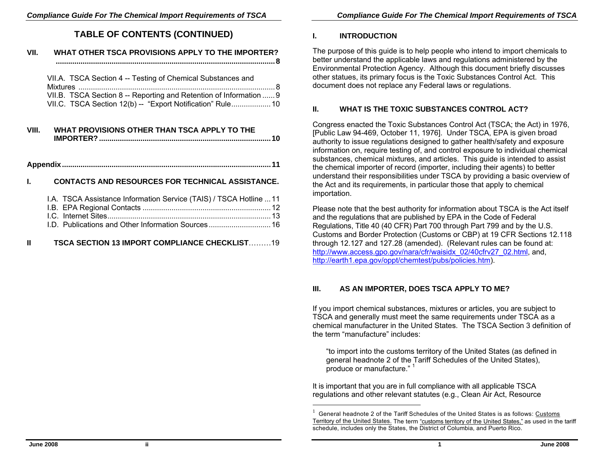## **TABLE OF CONTENTS (CONTINUED)**

## **VII. WHAT OTHER TSCA PROVISIONS APPLY TO THE IMPORTER? .......................................................................................................... 8**  VII.A. TSCA Section 4 -- Testing of Chemical Substances and Mixtures ...............................................................................................8 VII.B. TSCA Section 8 -- Reporting and Retention of Information ......9 VII.C. TSCA Section 12(b) -- "Export Notification" Rule..................... 10 **VIII. WHAT PROVISIONS OTHER THAN TSCA APPLY TO THE IMPORTER? ...................................................................................10 Appendix.....................................................................................................11 I. CONTACTS AND RESOURCES FOR TECHNICAL ASSISTANCE.**

|  | 1.A. TSCA Assistance Information Service (TAIS) / TSCA Hotline  11 |  |
|--|--------------------------------------------------------------------|--|
|  |                                                                    |  |
|  |                                                                    |  |
|  |                                                                    |  |
|  |                                                                    |  |

| <b>TSCA SECTION 13 IMPORT COMPLIANCE CHECKLIST19</b> |  |
|------------------------------------------------------|--|
|                                                      |  |

## **I. INTRODUCTION**

The purpose of this guide is to help people who intend to import chemicals to better understand the applicable laws and regulations administered by the Environmental Protection Agency. Although this document briefly discusses other statues, its primary focus is the Toxic Substances Control Act. This document does not replace any Federal laws or regulations.

## **II. WHAT IS THE TOXIC SUBSTANCES CONTROL ACT?**

Congress enacted the Toxic Substances Control Act (TSCA; the Act) in 1976, [Public Law 94-469, October 11, 1976]. Under TSCA, EPA is given broad authority to issue regulations designed to gather health/safety and exposure information on, require testing of, and control exposure to individual chemical substances, chemical mixtures, and articles. This guide is intended to assist the chemical importer of record (importer, including their agents) to better understand their responsibilities under TSCA by providing a basic overview of the Act and its requirements, in particular those that apply to chemical importation.

Please note that the best authority for information about TSCA is the Act itself and the regulations that are published by EPA in the Code of Federal Regulations, Title 40 (40 CFR) Part 700 through Part 799 and by the U.S. Customs and Border Protection (Customs or CBP) at 19 CFR Sections 12.118 through 12.127 and 127.28 (amended). (Relevant rules can be found at: http://www.access.gpo.gov/nara/cfr/waisidx\_02/40cfrv27\_02.html, and, http://earth1.epa.gov/oppt/chemtest/pubs/policies.htm).

## **III. AS AN IMPORTER, DOES TSCA APPLY TO ME?**

If you import chemical substances, mixtures or articles, you are subject to TSCA and generally must meet the same requirements under TSCA as a chemical manufacturer in the United States. The TSCA Section 3 definition of the term "manufacture" includes:

"to import into the customs territory of the United States (as defined in general headnote 2 of the Tariff Schedules of the United States), produce or manufacture."<sup>1</sup>

It is important that you are in full compliance with all applicable TSCA regulations and other relevant statutes (e.g., Clean Air Act, Resource

 $1$  General headnote 2 of the Tariff Schedules of the United States is as follows: Customs Territory of the United States. The term "customs territory of the United States," as used in the tariff schedule, includes only the States, the District of Columbia, and Puerto Rico.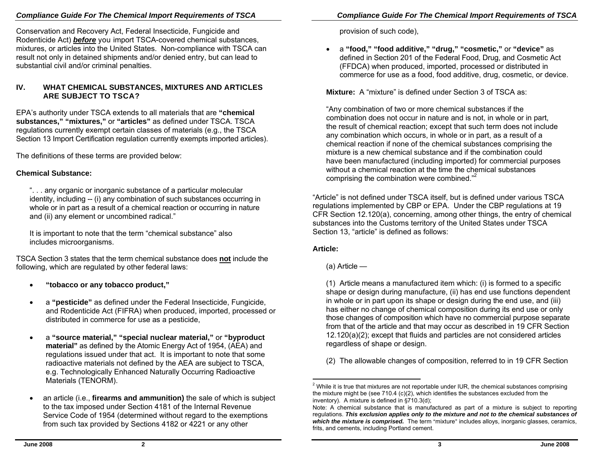## *Compliance Guide For The Chemical Import Req uirements of TSCA*

Conservation and Recovery Act, Federal Insecti cide, Fungicide and Rodenticide Act) *before* you import TSCA-covered chemical substances, mixtures, or articles into the United States. Non-com plian ce with TSCA can result not only in detained shipments and/or denied entry, but can lead to substantial civil and/or cri minal penalties.

#### **IV. WHAT CHEMICAL SUBSTANCES, MIXTURES AND ARTICLES ARE SUBJECT TO TSCA?**

EPA's authority under TSCA extends to all materials that are **"chemical substances," "mixtures,"** or **" articles"** as d efined under TSCA. TSCA regulations currently exempt certain classes of materials (e.g., the TSCA Section 13 Import Certification regulation currently exe mpts imported articles).

The definitions of these terms are provided belo w:

## **Chemical Substance:**

". . . any organic or inorganic substance of a particul ar molecul ar identity, including -- (i) any combination of such substances occurring in whole or in part as a result of a chemical reaction or occurring in nature and (ii) any element or uncombine d radical."

It is important to note that the term "chemic al substance" als o includes microorganisms.

TSCA Section 3 states that the term chemical substance does **not** include the followin g, whi ch are regulated by other federal laws:

- •**"tobacco or any tobacco product,"**
- a "**pesticide**" as defined under the Federal Insecticide, Fungicide, and Rodenticide Act (FIFRA) when produced, imported, processed or distributed in commerce for use as a pesticide,
- a **"source material," "special nuclear material,"** or **"b y product**  material" as defined by the Atomic Energy Act of 1954, (AEA) and regulations issue d under that act. It is important to note that some radioactive materials not defined by the AEA are subject to TSCA, e.g. Technolo gically Enhanced Naturally Occurrin g Radioactive Materials (TENORM).
- •• an article (i.e., **firearms and ammunition)** the sale of which is subject to the tax impose d under Section 4181 of the Internal Revenue Service Cod e of 1954 (determined without regard to the exemptions from such tax provided by Sections 4182 or 4221 or any other

provision of such cod e),

•<sup>a</sup>**"food," "food additi v e," "drug," "co s metic,"** or **"device"** as defined in Section 201 of the Federal Food, Drug, and Cosmetic Act (FFDCA) when produced, imported, pro c essed or distributed in commerce for use as a foo d, food additive, drug, cosmetic, or devi ce.

**Mixture:** A "mixture" is defined under Section 3 of TSCA as:

"Any combination of two or more chemi cal substanc es if the combination does not occur in nature and is not, in whole or in p art, the result of chemical reaction; except that such term does not include any combination whi ch occurs, in whole or in part, as a result of a chemi cal reaction if none of the chemi cal substances comprising the mixture is a new chemical substance and if the combination could have been manufactured (including imported) for com mercial purposes without a chemical reaction at the time the chemical substances comprising the combination were combined."

"Article" is not defined under TSCA itself, but is define d under various TSCA regulations implemented by CBP or EPA. Under the CBP regulations at 19 CFR Section 12.120(a), concernin g, among other things, the entry of chemi cal substan c es into the Custo ms territory of the United States under T SCA Section 13, "article" is d efined as follows:

#### **Article:**

(a) Article —

(1) Article means a manufactured item whi ch: (i) is forme d to a spe cific shape or d esign during manufacture, (ii) has end use functions de pendent in whole or in part upon its shape or d esign during the end use, and (iii) has either no change of chemical com position during its end use or only those changes of composition which have no commer cial purpose separate from that of the article and that may occur as describ ed in 19 CFR Section 12.120(a)(2); exc ept that fluids and particles are n ot considered articles regardl ess of shape or d esign.

(2) The allowable changes of composition, referred to in 19 CFR Section

 $2$  While it is true that mixtures are not reportable under IUR, the chemical substances comprising the mixture might be (see 710.4 (c)(2), which identifies the substances excluded from the inventory). A mixture is defined in  $\S710.3$ (d);

Note: A chemical substance that is manufactured as part of a mixture is subject to reporting regulations. *This exclusion applies only to the mixture and not to the chemical substances of*  which the mixture is comprised. The term "mixture" includes alloys, inorganic glasses, ceramics, frits, and cements, including Portland cement.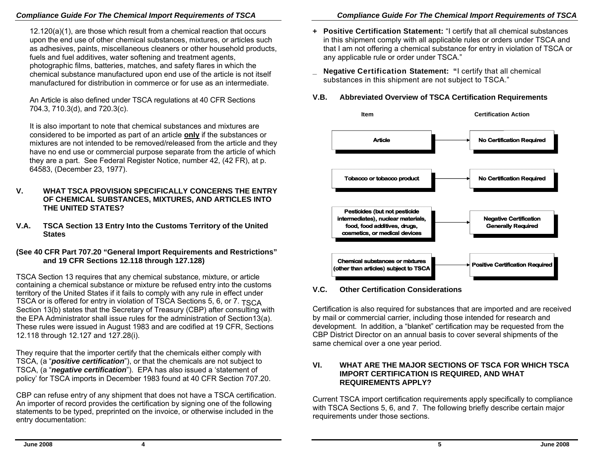#### *Compliance Guide For The Chemical Import Requirements of TSCA Compliance Guide For The Chemical Import Requirements of TSCA*

12.120(a)(1), are those which result from a chemical reaction that occurs upon the end use of other chemical substances, mixtures, or articles such as adhesives, paints, miscellaneous cleaners or other household products, fuels and fuel additives, water softening and treatment agents, photographic films, batteries, matches, and safety flares in which the chemical substance manufactured upon end use of the article is not itself manufactured for distribution in commerce or for use as an intermediate.

An Article is also defined under TSCA regulations at 40 CFR Sections 704.3, 710.3(d), and 720.3(c).

It is also important to note that chemical substances and mixtures are considered to be imported as part of an article **only** if the substances or mixtures are not intended to be removed/released from the article and they have no end use or commercial purpose separate from the article of which they are a part. See Federal Register Notice, number 42, (42 FR), at p. 64583, (December 23, 1977).

- **V. WHAT TSCA PROVISION SPECIFICALLY CONCERNS THE ENTRY OF CHEMICAL SUBSTANCES, MIXTURES, AND ARTICLES INTO THE UNITED STATES?**
- **V.A. TSCA Section 13 Entry Into the Customs Territory of the United States**

#### **(See 40 CFR Part 707.20 "General Import Requirements and Restrictions" and 19 CFR Sections 12.118 through 127.128)**

TSCA Section 13 requires that any chemical substance, mixture, or article containing a chemical substance or mixture be refused entry into the customs territory of the United States if it fails to comply with any rule in effect under TSCA or is offered for entry in violation of TSCA Sections 5, 6, or 7. TSCA Section 13(b) states that the Secretary of Treasury (CBP) after consulting with the EPA Administrator shall issue rules for the administration of Section13(a). These rules were issued in August 1983 and are codified at 19 CFR, Sections 12.118 through 12.127 and 127.28(i).

They require that the importer certify that the chemicals either comply with TSCA, (a "*positive certification*"), or that the chemicals are not subject to TSCA, (a "*negative certification*"). EPA has also issued a 'statement of policy' for TSCA imports in December 1983 found at 40 CFR Section 707.20.

CBP can refuse entry of any shipment that does not have a TSCA certification. An importer of record provides the certification by signing one of the following statements to be typed, preprinted on the invoice, or otherwise included in the entry documentation:

- **+ Positive Certification Statement:** "I certify that all chemical substances in this shipment comply with all applicable rules or orders under TSCA and that I am not offering a chemical substance for entry in violation of TSCA or any applicable rule or order under TSCA."
- **\_ Negative Certification Statement: "**I certify that all chemical substances in this shipment are not subject to TSCA."

#### **V.B. Abbreviated Overview of TSCA Certification Requirements**



#### **V.C. Other Certification Considerations**

Certification is also required for substances that are imported and are received by mail or commercial carrier, including those intended for research and development. In addition, a "blanket" certification may be requested from the CBP District Director on an annual basis to cover several shipments of the same chemical over a one year period.

#### **VI. WHAT ARE THE MAJOR SECTIONS OF TSCA FOR WHICH TSCA IMPORT CERTIFICATION IS REQUIRED, AND WHAT REQUIREMENTS APPLY?**

Current TSCA import certification requirements apply specifically to compliance with TSCA Sections 5, 6, and 7. The following briefly describe certain major requirements under those sections.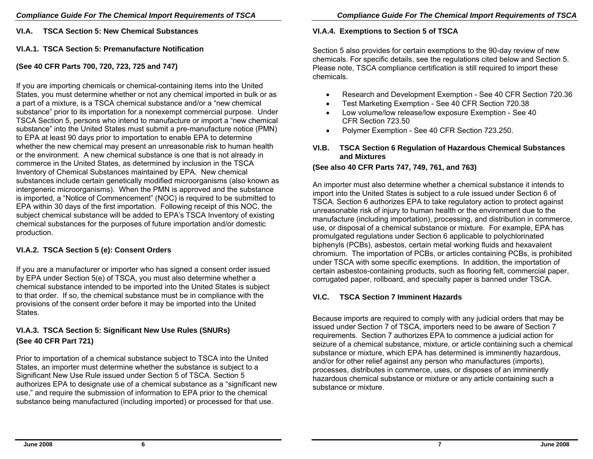**VI.A. TSCA Section 5: New Chemical Substances** 

#### **VI.A.1. TSCA Section 5: Premanufacture Notification**

#### **(See 40 CFR Parts 700, 720, 723, 725 and 747)**

If you are importing chemicals or chemical-containing items into the United States, you must determine whether or not any chemical imported in bulk or as a part of a mixture, is a TSCA chemical substance and/or a "new chemical substance" prior to its importation for a nonexempt commercial purpose. Under TSCA Section 5, persons who intend to manufacture or import a "new chemical substance" into the United States must submit a pre-manufacture notice (PMN) to EPA at least 90 days prior to importation to enable EPA to determine whether the new chemical may present an unreasonable risk to human health or the environment. A new chemical substance is one that is not already in commerce in the United States, as determined by inclusion in the TSCA Inventory of Chemical Substances maintained by EPA. New chemical substances include certain genetically modified microorganisms (also known as intergeneric microorganisms). When the PMN is approved and the substance is imported, a "Notice of Commencement" (NOC) is required to be submitted to EPA within 30 days of the first importation. Following receipt of this NOC, the subject chemical substance will be added to EPA's TSCA Inventory of existing chemical substances for the purposes of future importation and/or domestic production.

#### **VI.A.2. TSCA Section 5 (e): Consent Orders**

If you are a manufacturer or importer who has signed a consent order issued by EPA under Section 5(e) of TSCA, you must also determine whether a chemical substance intended to be imported into the United States is subject to that order. If so, the chemical substance must be in compliance with the provisions of the consent order before it may be imported into the United States.

## **VI.A.3. TSCA Section 5: Significant New Use Rules (SNURs) (See 40 CFR Part 721)**

Prior to importation of a chemical substance subject to TSCA into the United States, an importer must determine whether the substance is subject to a Significant New Use Rule issued under Section 5 of TSCA. Section 5 authorizes EPA to designate use of a chemical substance as a "significant new use," and require the submission of information to EPA prior to the chemical substance being manufactured (including imported) or processed for that use.

#### **VI.A.4. Exemptions to Section 5 of TSCA**

Section 5 also provides for certain exemptions to the 90-day review of new chemicals. For specific details, see the regulations cited below and Section 5. Please note, TSCA compliance certification is still required to import these chemicals.

- •Research and Development Exemption - See 40 CFR Section 720.36
- •Test Marketing Exemption - See 40 CFR Section 720.38
- • Low volume/low release/low exposure Exemption - See 40 CFR Section 723.50
- •Polymer Exemption - See 40 CFR Section 723.250.

#### **VI.B. TSCA Section 6 Regulation of Hazardous Chemical Substances and Mixtures**

#### **(See also 40 CFR Parts 747, 749, 761, and 763)**

An importer must also determine whether a chemical substance it intends to import into the United States is subject to a rule issued under Section 6 of TSCA. Section 6 authorizes EPA to take regulatory action to protect against unreasonable risk of injury to human health or the environment due to the manufacture (including importation), processing, and distribution in commerce, use, or disposal of a chemical substance or mixture. For example, EPA has promulgated regulations under Section 6 applicable to polychlorinated biphenyls (PCBs), asbestos, certain metal working fluids and hexavalent chromium. The importation of PCBs, or articles containing PCBs, is prohibited under TSCA with some specific exemptions. In addition, the importation of certain asbestos-containing products, such as flooring felt, commercial paper, corrugated paper, rollboard, and specialty paper is banned under TSCA.

#### **VI.C. TSCA Section 7 Imminent Hazards**

Because imports are required to comply with any judicial orders that may be issued under Section 7 of TSCA, importers need to be aware of Section 7 requirements. Section 7 authorizes EPA to commence a judicial action for seizure of a chemical substance, mixture, or article containing such a chemical substance or mixture, which EPA has determined is imminently hazardous, and/or for other relief against any person who manufactures (imports), processes, distributes in commerce, uses, or disposes of an imminently hazardous chemical substance or mixture or any article containing such a substance or mixture.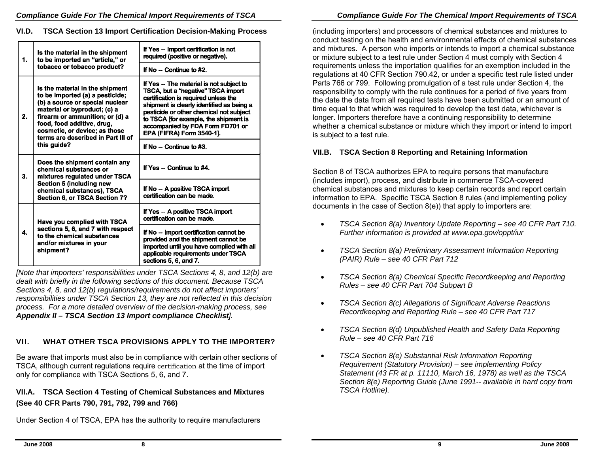#### **VI.D. TSCA Section 13 Import Certification Decision-Making Process**

| 1. | Is the material in the shipment<br>to be imported an "article," or<br>tobacco or tobacco product?                                                                                                                                                                             | If Yes -- Import certification is not<br>required (positive or negative).                                                                                                                                                                                                                                                |
|----|-------------------------------------------------------------------------------------------------------------------------------------------------------------------------------------------------------------------------------------------------------------------------------|--------------------------------------------------------------------------------------------------------------------------------------------------------------------------------------------------------------------------------------------------------------------------------------------------------------------------|
|    |                                                                                                                                                                                                                                                                               | If $No$ - Continue to #2.                                                                                                                                                                                                                                                                                                |
| 2. | Is the material in the shipment<br>to be imported (a) a pesticide;<br>(b) a source or special nuclear<br>material or byproduct; (c) a<br>firearm or ammunition; or (d) a<br>food, food additive, drug,<br>cosmetic, or device; as those<br>terms are described in Part III of | If Yes -- The material is not subject to<br>TSCA, but a "negative" TSCA import<br>certification is required unless the<br>shipment is clearly identified as being a<br>pesticide or other chemical not subject<br>to TSCA ffor example, the shipment is<br>accompanied by FDA Form FD701 or<br>EPA (FIFRA) Form 3540-1]. |
|    | this guide?                                                                                                                                                                                                                                                                   | If $No -$ Continue to #3.                                                                                                                                                                                                                                                                                                |
| 3. | Does the shipment contain any<br>chemical substances or<br>mixtures regulated under TSCA<br>Section 5 (including new<br>chemical substances), TSCA<br>Section 6, or TSCA Section 7?                                                                                           | If Yes $-$ Continue to $#4$ .                                                                                                                                                                                                                                                                                            |
|    |                                                                                                                                                                                                                                                                               | If No - A positive TSCA import<br>certification can be made.                                                                                                                                                                                                                                                             |
|    | Have you complied with TSCA                                                                                                                                                                                                                                                   | If Yes -- A positive TSCA import<br>certification can be made.                                                                                                                                                                                                                                                           |
| 4. | sections 5, 6, and 7 with respect<br>to the chemical substances<br>and/or mixtures in your<br>shipment?                                                                                                                                                                       | If No -- Import certification cannot be<br>provided and the shipment cannot be<br>imported until you have complied with all<br>applicable requirements under TSCA<br>sections 5, 6, and 7.                                                                                                                               |

*[Note that importers' responsibilities under TSCA Sections 4, 8, and 12(b) are dealt with briefly in the following sections of this document. Because TSCA Sections 4, 8, and 12(b) regulations/requirements do not affect importers' responsibilities under TSCA Section 13, they are not reflected in this decision process. For a more detailed overview of the decision-making process, see Appendix II – TSCA Section 13 Import compliance Checklist].* 

## **VII. WHAT OTHER TSCA PROVISIONS APPLY TO THE IMPORTER?**

Be aware that imports must also be in compliance with certain other sections of TSCA, although current regulations require certification at the time of import only for compliance with TSCA Sections 5, 6, and 7.

## **VII.A. TSCA Section 4 Testing of Chemical Substances and Mixtures (See 40 CFR Parts 790, 791, 792, 799 and 766)**

Under Section 4 of TSCA, EPA has the authority to require manufacturers

(including importers) and processors of chemical substances and mixtures to conduct testing on the health and environmental effects of chemical substances and mixtures. A person who imports or intends to import a chemical substance or mixture subject to a test rule under Section 4 must comply with Section 4 requirements unless the importation qualifies for an exemption included in the regulations at 40 CFR Section 790.42, or under a specific test rule listed under Parts 766 or 799. Following promulgation of a test rule under Section 4, the responsibility to comply with the rule continues for a period of five years from the date the data from all required tests have been submitted or an amount of time equal to that which was required to develop the test data, whichever is longer. Importers therefore have a continuing responsibility to determine whether a chemical substance or mixture which they import or intend to import is subject to a test rule.

#### **VII.B. TSCA Section 8 Reporting and Retaining Information**

Section 8 of TSCA authorizes EPA to require persons that manufacture (includes import), process, and distribute in commerce TSCA-covered chemical substances and mixtures to keep certain records and report certain information to EPA. Specific TSCA Section 8 rules (and implementing policy documents in the case of Section 8(e)) that apply to importers are:

- • *TSCA Section 8(a) Inventory Update Reporting – see 40 CFR Part 710. Further information is provided at www.epa.gov/oppt/iur*
- • *TSCA Section 8(a) Preliminary Assessment Information Reporting (PAIR) Rule – see 40 CFR Part 712*
- • *TSCA Section 8(a) Chemical Specific Recordkeeping and Reporting Rules – see 40 CFR Part 704 Subpart B*
- • *TSCA Section 8(c) Allegations of Significant Adverse Reactions Recordkeeping and Reporting Rule – see 40 CFR Part 717*
- • *TSCA Section 8(d) Unpublished Health and Safety Data Reporting Rule – see 40 CFR Part 716*
- • *TSCA Section 8(e) Substantial Risk Information Reporting Requirement (Statutory Provision) – see implementing Policy Statement (43 FR at p. 11110, March 16, 1978) as well as the TSCA Section 8(e) Reporting Guide (June 1991-- available in hard copy from TSCA Hotline).*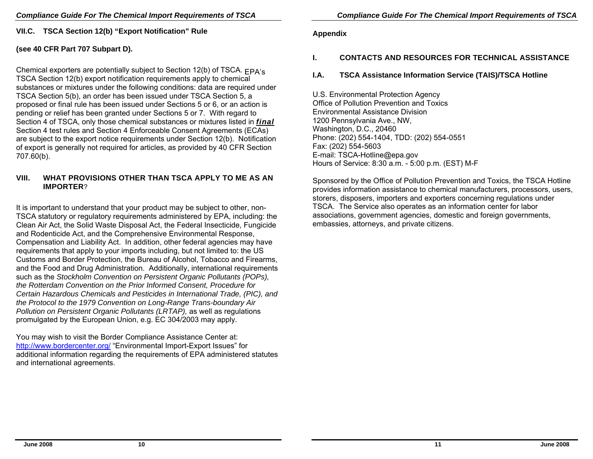**VII.C. TSCA Section 12(b) "Export Notification" Rule** 

#### **(see 40 CFR Part 707 Subpart D).**

Chemical exporters are potentially subject to Section 12(b) of TSCA. EPA's TSCA Section 12(b) export notification requirements apply to chemical substances or mixtures under the following conditions: data are required under TSCA Section 5(b), an order has been issued under TSCA Section 5, a proposed or final rule has been issued under Sections 5 or 6, or an action is pending or relief has been granted under Sections 5 or 7. With regard to Section 4 of TSCA, only those chemical substances or mixtures listed in *final*  Section 4 test rules and Section 4 Enforceable Consent Agreements (ECAs) are subject to the export notice requirements under Section 12(b). Notification of export is generally not required for articles, as provided by 40 CFR Section 707.60(b).

#### **VIII. WHAT PROVISIONS OTHER THAN TSCA APPLY TO ME AS AN IMPORTER**?

It is important to understand that your product may be subject to other, non-TSCA statutory or regulatory requirements administered by EPA, including: the Clean Air Act, the Solid Waste Disposal Act, the Federal Insecticide, Fungicide and Rodenticide Act, and the Comprehensive Environmental Response, Compensation and Liability Act. In addition, other federal agencies may have requirements that apply to your imports including, but not limited to: the US Customs and Border Protection, the Bureau of Alcohol, Tobacco and Firearms, and the Food and Drug Administration. Additionally, international requirements such as the *Stockholm Convention on Persistent Organic Pollutants (POPs), the Rotterdam Convention on the Prior Informed Consent, Procedure for Certain Hazardous Chemicals and Pesticides in International Trade, (PIC), and the Protocol to the 1979 Convention on Long-Range Trans-boundary Air Pollution on Persistent Organic Pollutants (LRTAP), as well as regulations* promulgated by the European Union, e.g. EC 304/2003 may apply.

You may wish to visit the Border Compliance Assistance Center at: http://www.bordercenter.org/ "Environmental Import-Export Issues" for additional information regarding the requirements of EPA administered statutes and international agreements.

#### **Appendix**

#### **I. CONTACTS AND RESOURCES FOR TECHNICAL ASSISTANCE**

#### **I.A. TSCA Assistance Information Service (TAIS)/TSCA Hotline**

U.S. Environmental Protection Agency Office of Pollution Prevention and Toxics Environmental Assistance Division 1200 Pennsylvania Ave., NW, Washington, D.C., 20460 Phone: (202) 554-1404, TDD: (202) 554-0551 Fax: (202) 554-5603 E-mail: TSCA-Hotline@epa.gov Hours of Service: 8:30 a.m. - 5:00 p.m. (EST) M-F

Sponsored by the Office of Pollution Prevention and Toxics, the TSCA Hotline provides information assistance to chemical manufacturers, processors, users, storers, disposers, importers and exporters concerning regulations under TSCA. The Service also operates as an information center for labor associations, government agencies, domestic and foreign governments, embassies, attorneys, and private citizens.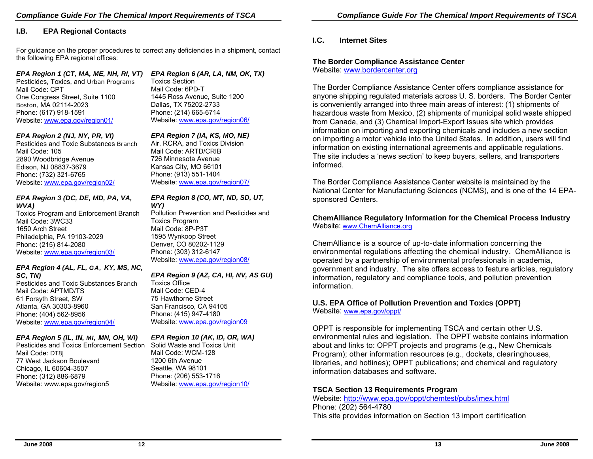#### **I.B. EPA Regional Contacts**

For guidance on the proper procedures to correct any deficiencies in a shipment, contact the follo wing EPA regional offices:

#### *EPA Region 1 (CT, MA, ME, NH, RI, VT)*

Pesticides, Toxics, and Urban Programs Mail Code: CPT One Congress Street, Suite 1100 Boston, MA 02114-2023 Phone: (617) 918-1591 Website: www.epa.gov/region01/

#### *EPA Region 2 (NJ, N Y, PR, VI)*

Pesticides and Toxic Substances Branch Mail Code: 105 2890 Woodbridge Avenue Edison, NJ 08837-3679 Phone: (732) 321-6765 Website: www.epa.gov/region02/

#### *EPA Region 3 (DC, D E, MD, PA, VA, WVA)*

Toxics Progra m and Enforcement Branch Mail Code: 3WC33 1650 Arch Street Philadelphia, P A 19103-2029 Phone: (215) 814-2080 Website: www.epa.gov/region03/

#### *EPA Region 4 (AL, FL, GA, KY, MS, N C,*

*SC, TN)*  Pesticides and Toxic Substances Branch Mail Code: APTMD/TS 61 Forsyth Street, SW Atlanta, GA 30303-8960 Phone: (404) 562-8956 Website: www.epa.gov/region04/

#### *EPA Region 5 (IL, IN, MI, MN, OH, WI)*

Pesticides and Toxics Enforcement Section Mail Code: DT8J 77 West Jackson Boulevard Chicago, IL 60604-3507 Phone: (312) 886-6879 Website: www.epa.gov/region5

## *EPA Region 6 (AR, LA, NM, OK, TX)*

Toxics Section Mail Code: 6PD-T 1445 Ross Avenue, Suite 1200 Dallas, T X 75202-2733 Phone: (214) 665-6714 Website: www.epa.gov/region06/

#### *EPA Region 7 (IA, KS, MO, NE)*

Air, RCRA, and Toxics Division Mail Code: ARTD/CRIB 726 Minnesota Avenue Kansas City, M O 66101 Phone: (913) 551-1404 Website: www.epa.gov/region07/

#### *EPA Region 8 (CO, MT, ND, SD, UT, WY)*

Pollution Prevention and Pesticides and Toxics Program Mail Code: 8P-P3T 1595 Wynkoop Street Denver, CO 80202-1129 Phone: (303) 312-6147 Website: www.epa.gov/region08/

#### *EPA Region 9 (AZ, CA, HI, NV, AS GU***)**

Toxics Office Mail Code: CED-4 75 Hawthorne Street San Francisco, CA 94105 Phone: (415) 947-4180 Website: www.epa.gov/region09

#### *EPA Region 1 0 (AK, ID, OR, WA)*

Solid Waste and Toxics Unit Mail Code: WCM-128 1200 6th Avenue Seattle, W A 98101 Phone: (206) 553-1716 Website: www.epa.gov/region10/

#### **I.C. Internet Sites**

## **The Border Compliance Assistance Center**

Website: www.bordercenter.org

The Border Complian ce Assistance Center offers co mplian ce assistance for anyone ship ping regulated materials across U. S. borders. The Border Center is conveniently arranged into three main areas of interest: (1) shipments of hazard ous waste from Mexico, (2) shipments of municipal solid waste shipped from Canada, and (3) Ch emical Import-Export Issues site whi ch provides information on importin g and exportin g chemi cals and includes a new section on importing a motor vehicle into the United States. In addition, users will find information on existing internation al agreements and applicable regulations. The site includes a 'news section' to kee p buyers, sellers, and transporters informed.

The Border Complian ce Assistance Center website is maintaine d b y the National Center for Manufacturing Sciences (NCMS), and is one of the 14 EPAsponsored Centers.

#### **ChemAlliance Regulatory Information for the Chemical Process Industr y** Website: www.ChemAlliance.org

ChemAlliance is a source of up-to-date information concerning the envir onmental re gulations affecting the che mical industr y. Che mAllianc e is oper ated by a partnership of envir onmental professionals in academia, government and industry. The site offers access to feature articles, regulatory information, regulatory and complian ce tools, and p ollution prevention information.

## **U.S. EPA Office of Pollution Prevention and Toxics (OPPT)**

Website: <u>www.epa.gov/oppt/</u>

OPP T is responsible f or i mplementing T SCA and c ertain other U.S. environmental rules and legisl ation. The OPPT website contains information about and links to: OPPT projects and pro grams (e.g., N ew Chemicals Program); other information resources (e.g., dockets, clearinghouses, libraries, and hotlin es); OPPT publications; an d chemical and regulatory information databases and software.

## **TSCA Section 13 Req uirements Program**

Website: http://www.epa.gov/oppt/chemtest/pubs/imex.html Phone: (202) 564-4780 This site pro vides information on Section 13 import c ertific ation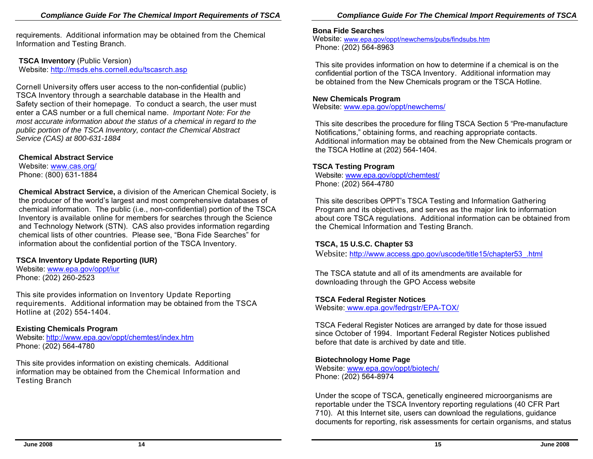requirements. Additional information may be obtained from the Chemical Information and Testing Branch.

#### **TSCA Inventory (Public Version)**

Website: http://msds.ehs.cornell.edu/tscasrch.asp

Cornell University offers user access to the non-confidential (public) TSCA Inventory through a searchable database in the Health and Safety section of their homepage. To conduct a search, the user must enter a CAS number or a full chemical name. *Important Note: For the most accurate information about the status of a chemical in regard to the public portion of the TSCA Inventory, contact the Chemical Abstract Service (CAS) at 800-631-1884* 

#### **Chemical Abstract Service**

Website: www.cas.org/ Phone: (800) 631-1884

**Chemical Abstract Service,** a division of the American Chemical Society, is the producer of the world's largest and most comprehensive databases of chemical information. The public (i.e., non-confidential) portion of the TSCA Inventory is available online for members for searches through the Science and Technology Network (STN). CAS also provides information regarding chemical lists of other countries. Please see, "Bona Fide Searches" for information about the confidential portion of the TSCA Inventory.

#### **TSCA Inventory Update Reporting (IUR)**

Website: www.epa.gov/oppt/iur Phone: (202) 260-2523

This site provides information on Inventory Update Reporting requirements. Additional information may be obtained from the TSCA Hotline at (202) 554-1404.

#### **Existing Chemicals Program**

Website: http://www.epa.gov/oppt/chemtest/index.htm Phone: (202) 564-4780

This site provides information on existing chemicals. Additional information may be obtained from the Chemical Information and Testing Branch

#### **Bona Fide Searches**

Website: www.epa.gov/oppt/newchems/pubs/findsubs.htm Phone: (202) 564-8963

This site provides information on how to determine if a chemical is on the confidential portion of the TSCA Inventory. Additional information may be obtained from the New Chemicals program or the TSCA Hotline.

#### **New Chemicals Program**

Website: www.epa.gov/oppt/newchems/

This site describes the procedure for filing TSCA Section 5 "Pre-manufacture Notifications," obtaining forms, and reaching appropriate contacts. Additional information may be obtained from the New Chemicals program or the TSCA Hotline at (202) 564-1404.

#### **TSCA Testing Program**

Website: www.epa.gov/oppt/chemtest/ Phone: (202) 564-4780

This site describes OPPT's TSCA Testing and Information Gathering Program and its objectives, and serves as the major link to information about core TSCA regulations. Additional information can be obtained from the Chemical Information and Testing Branch.

#### **TSCA, 15 U.S.C. Chapter 53**

Website: http://www.access.gpo.gov/uscode/title15/chapter53\_.html

The TSCA statute and all of its amendments are available for downloading through the GPO Access website

#### **TSCA Federal Register Notices**

Website: www.epa.gov/fedrgstr/EPA-TOX/

TSCA Federal Register Notices are arranged by date for those issued since October of 1994. Important Federal Register Notices published before that date is archived by date and title.

#### **Biotechnology Home Page**

Website: www.epa.gov/oppt/biotech/ Phone: (202) 564-8974

Under the scope of TSCA, genetically engineered microorganisms are reportable under the TSCA Inventory reporting regulations (40 CFR Part 710). At this Internet site, users can download the regulations, guidance documents for reporting, risk assessments for certain organisms, and status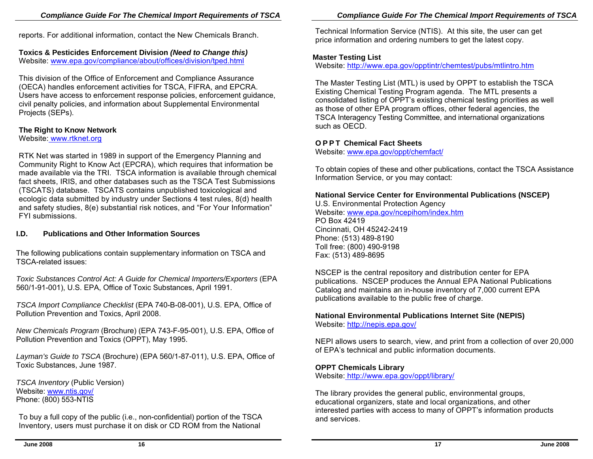reports. For a dditional information, contact the N ew Chemicals Branch.

## **Toxics & Pesticides Enforcement Di vision** *(Need to Change this)*

Website: www.epa.gov/compliance/about/offices/division/tped.html

This division of the Office of Enforcement and Compliance Assurance (OECA) handles enforc ement activities for TSCA, FIFRA, and EPCRA. Users ha ve a ccess to enforcement response poli cies, enforcement guidance, civil penalty policies, and information about Supplemental Environmental Projects (SEPs).

## **The Right to Know Netw ork**

#### Website: www.rtknet.org

RTK Net was started in 1989 in support of the Emergency Planning and Community Right to Know Act (EPCRA), which requires that information be made available via the TRI. TSCA information is available through chemical fact sheets, IRIS, and other databases such as the TSCA Test Submissions (T SCATS) d atabase. TSCATS contains unpublished toxicol ogical and ecologic data submitted by industry under Sections 4 test rules, 8(d) health and safety studies, 8(e) substantial risk notices, and "For Your Information" FYI submissions.

## **I.D. Publications and Other Information Sources**

The following publications contain supplementary information on TSCA and TSCA-related issues:

*Toxic Substances Control Act: A Guide for Chemical Importers/Exporters* (EPA 560/1-91-001), U.S. EPA, Office of Toxic Substances, April 1991.

*TSCA Import Complian ce Checklist* (EP A 740-B-08-001), U.S. EPA, Office of Pollution Prevention and Toxics, April 2008.

*New Chemicals Program* (Brochure) (EPA 743-F-95-001), U.S. EPA, Office of Pollution Prevention and Toxics (OPPT), May 1995.

*Laym a<sup>n</sup>'s Guide to TSCA* (Brochure) (EPA 560/1-87-011), U.S. EPA, Office of Toxic Substances, June 1987.

*TSCA Inventory* (Public Versi on) Website: www.ntis.gov/ Phone: (800) 553-NTIS

To buy a full copy of the public (i.e., non-confidential) portion of th e TSCA Inventory, users must purchase it on disk or C D ROM from the National

Technical Inf ormation Service (NTIS). At this site, the user can get pri ce information and ordering num bers to g et the latest copy.

## **Master Testing List**

Website: http://www.epa.gov/opptintr/chemtest/pubs/mtlintro.htm

The Master Testing List (MTL) is used by OPP T to establish the TSCA Existing Chemical Testing Program agenda. The MTL presents a consolidated listing of OPP T's existin g chemical testing priorities as well as those of other EPA program offices, other federal agencies, the T S CA Interagency Testing Committee, and international organizations such as OECD.

## **O P P T Chemical Fact Sheets**

Website: www.epa.gov/oppt/chemfact/

To obtain copies of these and other public ations, contact the TSCA Assistan ce Information Service, or you may contact:

## **National Service Center for Environmental Publications (NS CEP)**

U.S. Environmental Protection Agency Website: www.epa.gov/ncepihom/index.htm PO Box 42419Cincinn ati, OH 45242-2419 Phone: (513) 489-819 0Toll free: (800) 490-9198 F ax: (513) 489-86 9 5

NSCEP is the central repository an d distribution center for EPA publications. NSCEP produces the Annual EPA National Publications Catalog and maintains an in-hous e inventory of 7,000 current EPA publications available to the public free of charge.

## **Nati onal Environmental Publi cations Internet Site (NEPIS)**

Website: http://nepis.epa.gov/

NEPI allows users to search, view, and print from a collection of o ver 2 0,000 of EPA's technical and pu blic information d o cuments.

## **OPPT Chemicals Library**

Website: http://www.epa.gov/oppt/library/

The library provi des the g eneral public, environm ental groups, educational organizers, state and local organizations, and other int erested p arties with access to many of OPPT's information pro ducts and services.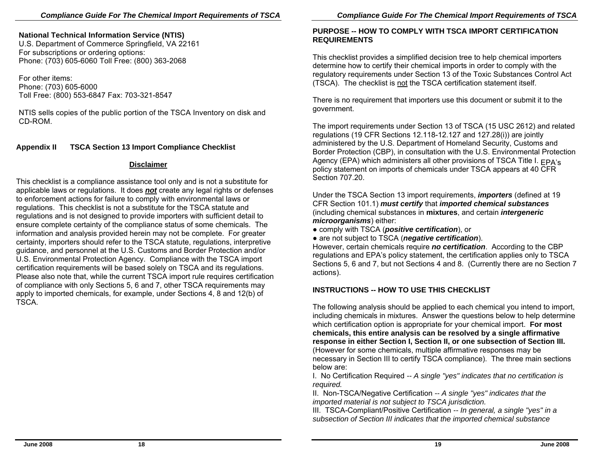#### **Nati onal Technical I nformation Service (NTIS)**

U.S. Department of C ommerce Springfield, VA 22161 F or subscriptions or orderin g options: Phone: (703) 605-606 0 Toll Free: (800) 363-206 8

For other items: Phone: (703) 605-6000 T oll Fre e: (800) 553-6847 F ax: 703-321-8547

NTIS sells copi es of the public porti on of the TSCA Inventory on disk and CD-ROM.

#### **Appendix II TSCA Section 13 Import Compliance Checklist**

#### **Disclaimer**

This checklist is a complian ce assistance tool only and is not a substitute for appli cable laws or regulations. It does *not* create any legal rights or defenses to enforcement actions for failure to comply with environmental laws or regulations. This checklist is not a substitute for the TSCA statute and regulations and is not designed to provide importers with sufficient detail to ensure complete certainty of the compliance status of some chemi cals. The information and analysis provided h erein may not be compl ete. For gre ater certainty, importers should refer to the TSCA statute, regulations, interpretive guidance, and personnel at the U.S. Customs and Border Prote ction and/or U.S. Environmental Protection Agency. Compliance with the TSCA import certification requirements will be based solely on TSCA and its regulations. Please also note that, while the current TSCA import rule requires certification of compliance with only Sections 5, 6 and 7, other T SCA requirements may apply to imported chemi cals, for example, under Sections 4, 8 and 12(b) of TSCA.

#### **PURPOSE -- HOW TO COMPLY WITH TSCA IMPORT CERTIFICATION REQUI REMENTS**

This checklist provides a simplified decision tree to help chemi cal importers determine how to certify their chemi cal i mports in ord er to com ply with the regulatory requirements under Section 13 of the Toxic Substances Control A ct (TSCA). The checklist is not the TSCA certification statement itself.

There is no requirement that importers use this d ocument or submit it to the govern ment.

The import requirements under Section 13 of TSCA (15 USC 2612) and related regulations (19 CFR Sections 12.118-12.127 and 127.28(i)) are jointly administered by the U.S. Department of Homeland Security, Custo ms and Border Protection (CBP), in consultation with the U.S. Environmental Protection Agency (EPA) which administers all other provisions of TSCA Title I.  $_{\sf EPA's}$ policy statement on imports of che micals under TSCA appears at 40 CFR Section 707.20.

Under the TSCA Section 13 import requirements, *importers* (defined at 19 CFR Section 101.1) *must certify* that *imported c h e mical substances*  (includin g chemical substances in **mixtures**, and certain *intergeneric microorganisms*) either:

● c omply with TSCA (*positive certific ation*), or

● are not subject to TSCA (*negative certification*).

However, certain chemicals require *no certification*. According to the CBP regulations and EPA's policy statement, the certification applies only to TSCA Sections 5, 6 and 7, but not Sections 4 and 8. (Currently there are no Section 7 actions).

## **INSTRUCTIONS -- HOW TO USE THIS CHECKLIST**

The following analysis sh ould be applied to each che mical you intend to import, including che micals in mixtures. Answer the questions belo w to help determine whi ch certification option is appropriate for your chemical import. **For most chemicals, this entire analy sis can be resolved by a single affirmative response in either Section I, Section II, or one subsection of Section III.**  (How e ver for s ome chemicals, multiple affirmative responses may be necessary in Section III to certify TSCA compliance). The three main sections below are:

I. No Certification Required *-- A sin gle "ye s" indicates that no certification is required.* 

II. Non-TSCA/Negative Certification *-- A single "yes" indicates that the imported m aterial is not subject to TSCA jurisdiction.* 

III. TSCA-Compliant/Positive Certification *-- In general, a single "ye s" in a subsection of Section III indicates that the imported chemical s ubstance*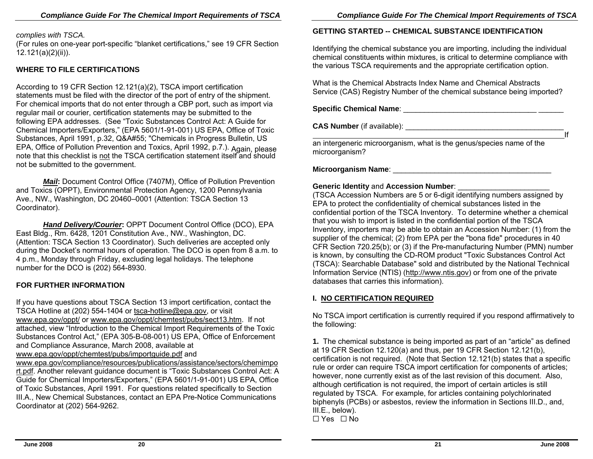#### *complies with TSCA.*

(For rules on one-year port-specific "blanket certifications," see 19 CFR Section 12.121(a)(2)(ii)).

#### **WHERE TO FILE CERTIFICATIONS**

According to 19 CFR Section 12.121(a)(2), TSCA import certification statements must be filed with the director of the port of entry of the shipment. For chemi cal imports that do not enter through a CBP port, such as import via regular mail or courier, certification state ments may b e submitted t o the following EPA addresses. (See "Toxic Substances Control Act: A Guide for Chemical Importers/Export ers," (EPA 5601/1-91-001) US EPA, Offi c e of Toxic Substances, April 1991, p.32, Q&A#55; "Chemi cals in Progress Bulletin, US EPA, Office of Pollution Prevention and Toxics, April 1992, p.7.). Again, please<br>note that this checklist is not the TSCA certification statement itself and should cklist is not the TSCA certification statement itself and should not be submitted to the government.

 *Mail***:** Document Control Office (7407M), Office of Pollution Prevention and Toxics (OPPT), Environmental Protection Agency, 1200 Pennsylvania Ave., NW., Washington, DC 20460–0001 (Attention: TSCA Section 13 Coordinator).

 *Hand Delivery/Courier***:** OPPT Document Control Offic e (DCO), EPA East Bldg., Rm. 6428, 1201 Constitution Ave., NW., Washington, DC. (Attention: TSCA Section 1 3 Coordinator). Such deliveries are a ccepted only during the Docket's normal hours of operation. The DCO is open from 8 a.m. to 4 p.m., Monday through Friday, excludin g legal holid a ys. The telephone number for the DCO is (20 2) 564-8930.

#### **FOR FURTHER INFORMATION**

If you have questions about TSCA Section 13 import certification, contact the TSCA Hotline at (202) 554-1404 or <u>tsca-hotline@epa.gov,</u> or visit www.epa.gov/oppt/ or www.epa.gov/oppt/chemtest/pu bs/sect13.htm. If not attached, view "Introduction to the Che mical Import Require ments of the Toxic Substances Control Act," (EPA 305-B-08-001) US EPA, Office of Enforcement and Compliance Assurance, March 2008, available at

#### www.epa.gov/oppt/chemtest/pubs/importguide.pdf and

www.epa.gov/compliance/resources/publications/assistance/sect ors/chemimpo r<u>t.pdf</u>. Another relevant guidance document is "Toxic Substances Control Act: A Guide for Chemical Importers/Exporters," (EPA 5601/1-91-001) US EPA, Office of Toxic Substances, April 1991. For questions rel ated spe cifically to Section III.A., New Chemical Substances, c ontact an EPA Pre-Notice Communications Coordin ator at (202) 564-9262.

### **GETTING STARTED -- CHEMICAL SUBSTANCE IDENTIFICATION**

Identifying the chemi cal substan ce you are imp orting, including the individual chemi cal constituents within mixtures, is critical to determin e compliance with the various T SCA requirements and the appropriate certification option.

What is the Chemical Abstracts Index Name and Chemical Abstracts Service (CAS) Registry Number of the chemical substance bein g imported?

**Specific Ch e mical Name**: \_\_\_\_\_\_\_\_\_\_\_\_\_\_\_\_\_\_\_\_\_\_\_\_\_\_\_\_\_\_\_\_ \_\_\_\_\_\_

**CAS Nu mb er** (if available): \_\_\_\_\_\_\_\_\_\_\_\_\_\_\_\_\_\_\_\_\_\_\_\_\_\_\_\_\_\_\_\_\_\_\_\_\_\_

an intergeneric microorganism, what is the genus/spe cies name of the microorganism?

#### **Microorganism Name**: \_\_\_\_\_\_\_\_\_\_\_\_\_\_\_\_\_\_\_\_\_\_\_\_\_\_\_\_\_\_\_\_\_\_\_\_\_\_

#### **Generic Identit y** and **Accession Number**: \_\_\_\_\_\_\_\_\_\_\_\_\_\_\_\_\_\_\_\_\_\_

(TSCA Accession Numbers are 5 or 6-digit identifying numbers assigned by EPA to protect the confidentiality of chemical substances listed in the confidential p ortion of the TSCA Inventory. To determine whether a chemi cal that you wish to import is listed in the confidential portion of the TSCA Inventory, importers may b e able to obt ain an Accession Numb er: (1) from the supplier of the chemical; (2) from EPA per the "bona fide" procedures in 40 CFR Section 720.25(b); or (3) if the Pre-manufa cturing Number (PMN) number is known, by consulting the CD-ROM product "Toxic Substances Control Act (TSCA): Searcha ble Database" sold and distributed by the National Technical Information Service (NTIS) (http://www.ntis.gov) or from one of the private databases that carries this information).

#### **I. NO CERTI FICATION R EQUIRED**

No TSCA imp ort certification is currently required if you respond affirmatively to the following:

**1.** The chemical substance is being imported as part of an "article" as defined at 19 CFR Section 12.120(a) and thus, p er 19 CFR Section 12.121(b), certification is not required. (Note that Section 1 2.121(b) states that a spe cific rule or order can require T SCA import certification for components of articles; however, none currently exist as of the last revision of this document. Als o, although certification is not required, the import of certain articles is still regulated by TSCA. For e xample, for articles containing polychlorinated biphenyls (PCBs) or asbestos, review the information in Sections III.D., and, III.E., below). G Yes G No

.<br>If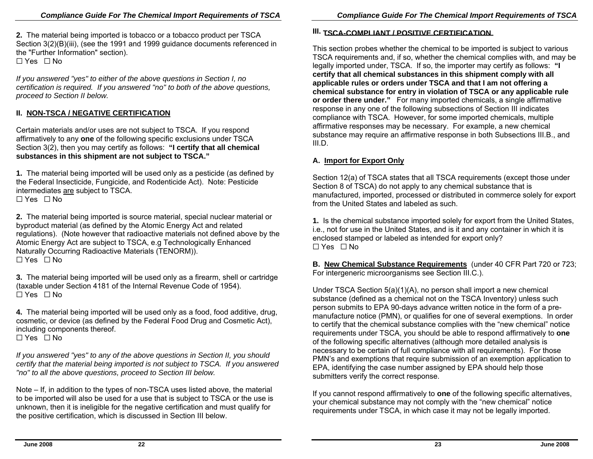**2.** The material being imported is tobacco or a tobacco product per TSCA Section 3(2)(B)(iii), (see the 1991 and 1999 guidance documents referenced in the "Further Information" section).  $\Box$  Yes  $\Box$  No

*If you answered "ye <sup>s</sup>" to either of the above q uestions in Section I, no certification is required. If you answere d "no" to both of the above questio ns, pro ceed to Section II belo w.* 

### **II. NON-TSCA / NEGATIVE CERTIFICATION**

Certain materials and/or uses are not subject to TSCA. If you respond affirmatively to any **one** of the followin g spe cific exclusions under TSCA Section 3(2), then you may certify as follows: **"I certify that all che mical substances in this shipm ent are not subject to TSCA."** 

**1.** The material being imported will be used only as a pesticide (as defined by the Federal Insecticide, Fungicide, an d Rodenticide Act). Note: Pesticide intermediates are subject to TSCA.  $\Box$  Yes  $\Box$  No

**2.** The material being imported is source material, special nuclear material or byproduct material (as defined by the Atomic Energy Act and rel ated regulations). (Note however that radioactive materials not defined above by the Atomic Energ y Act are subject to TSCA, e.g Technolo gically Enhanced Naturally Occurring Radioactive Materials (TE NORM)). G Yes G No

**3.** The material being imported will be used only as a firearm, shell or cartridge (taxable under Section 4181 of the Internal Revenue Cod e of 1954). G Yes G No

**4.** The material being imported will be used only as a food, food additive, drug, cosmetic, or device (as d efined by the Federal Foo d Drug and Cosmetic A ct), including components there of.

G Yes G No

If you answered "yes" to any of the above questions in Section II, you should *certify that the m aterial being imported is not s ubject to TSCA. If you ans wered "no" to all the above questions, proceed to Section III below.* 

Note – If, in addition to the types of non-TSCA uses listed above, the material to be imported will also be used for a use that is subject to TSCA or the use is unknown, then it is ineligibl e for the negative certification and must qualify for the positive certification, which is discussed in Section III below.

#### **III. TSCA-COMPLIANT / POSITIVE CERTIFICATION**

This section probes wheth er the chemical to be imported is subje ct to various TSCA require ments and, if so, whether the chemical complies with, and may be legally imported under, TSCA. If so, the importer m ay certify as follows: **"I certify that all chemical substances in this shipment comply with all applicable r ules or orders under TSCA and that I am not offering a chemical substance for entr y in violation of TSCA or an y applicable rule or order there under.**" For many imported chemicals, a single affirmative response in any one of the following subsections of Section III indicates compliance with TSCA. However, for some imported chemi cals, multiple affirmative responses may be necessary. For example, a new che mical substance may require an affirmative response in both Subsections III.B., and III.D.

#### **A. Import for Export Only**

Section 12(a) of TSCA states that all TSCA require ments (ex cept those under Section 8 of TSCA) do n ot apply to any chemi cal substance that is manufactured, imported, processed or distribute d in commerce solely for export from the United States and labeled as such.

**1.** Is the che mical substan ce imported solely for export from the United States, i.e., not for use in the United States, and is it and any container in which it is encl osed stamped or labeled as intended for export only? G Yes G No

**B. New Che mical Substance Requir ements** (under 40 CFR Part 720 or 723; For intergeneric microorganisms s ee Section III.C.).

Und er TSCA Section 5(a)(1)(A), no person shall import a new che mical substan ce (defined as a chemical not on the TSCA Inventory) unless such person submits to EPA 90-days advance written notice in the form of a premanufacture notice (PM N), or qualifies for one of several exemptions. In order to certify that the chemical substance complies with the "new chemical" notice requirements under TSCA, you should b e able to respond affirmatively to **one**  of the following specific alternatives (although more detailed analysis is necessary to be certain of full compliance with all requirements). For those PMN's and exemptions that require sub mission of an exemption application to EPA, identifying the case number assigned by EPA should help those submitters verify the c orrect res ponse.

If you cannot respond affirmatively to **one** of the following specific alternatives, your chemi c al substan ce may not com ply with the "new chemi cal" notice requirements under TSCA, in whi ch case it may not be legally imported.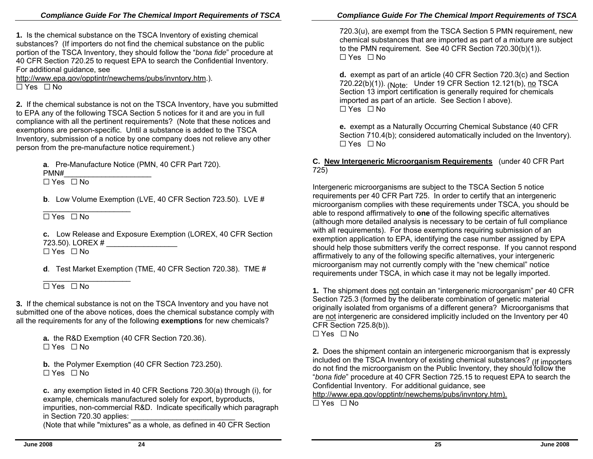**1.** Is the chemical substance on the TSCA Inventory of existing chemical substances? (If importers do not find the chemi cal substance on the public portion of the TSCA Inventory, they should follow the "*bona fide*" procedure at 40 CFR Section 720.25 to request EPA to search the Confidential Inventory. For additional guidance, see

http://www.epa.gov/opptintr/newchems/pubs/invntory.htm.).  $\Box$  Yes  $\Box$  No

**2.** If the chemical substance is not on the TSCA Inventory, have you submitted to EPA any of the following TSCA Section 5 notices for it and are you in full compliance with all the pertinent require ments? (Note that these n otices and exemptions are person-specific. Until a substan ce is added to the TSCA Inventory, submission of a notice by one company does n ot reliev e any other person from the pre-manufacture notice requirement.)

**<sup>a</sup>**. Pre-Manufacture Notice (PMN, 40 CFR Part 720).

PMN#\_\_\_\_\_\_\_\_\_\_\_\_\_\_\_\_\_\_\_\_\_

G Yes G No

**b**. Low Volume Exemption (LVE, 40 CFR Section 723.50). LVE #

 $\Box$  Yes  $\Box$  No

**c.** Low Release and Exposure Exemption (LO REX, 40 CFR Section 723.50). LOREX #  $\Box$  Yes  $\Box$  No

**d**. Test Market Exemption (TME, 40 CFR Section 720.38). TME #

 $\overline{\phantom{a}}$  , and the set of the set of the set of the set of the set of the set of the set of the set of the set of the set of the set of the set of the set of the set of the set of the set of the set of the set of the s  $\Box$  Yes  $\Box$  No

**3.** If the chemical substance is not on the TSCA Inventory and you have not submitted one of the above notices, does the chemi cal substance comply with all the requirements for any of the following **exemptions** for new chemicals?

> **a.** the R&D Exemption (40 CFR Section 720.36). G Yes G No

**b.** the Polymer Exemption (40 CFR Section 723.250). G Yes G No

**c.** any exemption listed in 40 CFR Sections 720.30(a) through (i), for example, ch e micals manufactured solel y for export, byproducts, impurities, non-commercial R&D. Indicate spe cifically which paragraph in Section 720.30 appli es:

Mote that while "mixtures" as a whole, as defined in 40 CFR Section

720.3(u), are exempt from the TSCA Section 5 PMN requirement, new chemical substances that are imp orted as part of a mixture are subject to the PMN requirement. See 40 CFR Section 720.3 0(b)(1)).  $\Box$  Yes  $\Box$  No

**d.** exempt as part of an article (40 CFR Section 720.3(c) and Section 720.22(b)(1)). <sub>(Note:</sub> Under 19 CFR Section 12.121(b), <u>no</u> TSCA Section 13 import certification is generall y required for chemi cals imported as p art of an article. See Section I above).  $\Box$  Yes  $\Box$  No

**e.** exempt as a Naturally O ccurring Che mical Substance (40 CFR Section 710.4(b); considere d automatically included on the Inventory).  $\Box$  Yes  $\Box$  No

**C. Ne w I ntergeneric Microorganism Requirements** (under 4 0 CFR Part 725)

Intergeneric microorganisms are subject to the TSCA Section 5 notice requirements per 40 CFR Part 725. In order to certify that an interg eneric microorganism complies with these requirements un der TSCA, you should be able to respond affirmatively to **one** of the followin g specific alternati ves (although more detailed analysis is necessary to be certain of full complian ce with all requirements). For those exemptions requirin g submission of an exemption application to EPA, identifying the case number assigned by EPA should help those submitters verify the corre ct response. If you cannot respond affirmatively to any of the followin g specific alternatives, your intergeneric microorganism may not currently compl y with the "ne w chemical" n otice requirements under TSCA, in whi ch case it may not be legally imported.

**1.** The shipment does <u>not</u> contain an "intergeneric microorganism" per 40 CFR Section 725.3 (formed by the deliberate combination of genetic material originally isolated from organisms of a different genera? Microorganisms that are <u>not</u> intergeneric are considered implicitly included on the Inventory per 40 CFR Section 725.8(b)).  $\Box$  Yes  $\Box$  No

**2.** Does the shipment contain an intergeneric microorganism that is expressly included on the TSCA Inventory of existing chemi cal substan c do not find the microorganism on the Public Inventory, they should follow the "*bona fide*" procedure at 40 CFR Section 725.15 to request EPA to search the Confidential Inventory. For additional guidance, see

http://www.epa.gov/opptintr/newchems/pubs/invntory.htm).  $\Box$  Yes  $\Box$  No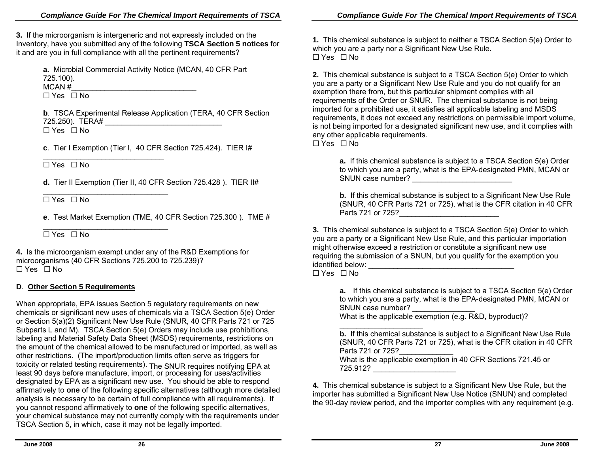**3.** If the microorganism is intergeneric and not expressly included on the Inventory, have you submitted any of the following **TSCA Section 5 notices** for it and are you in full compliance with all the pertinent requirements?

**a.** Microbial Commercial Activity Notice (MCAN, 40 CFR Part 725.100). MCAN #

 $\overline{\phantom{a}}$  , and the contribution of the contribution of the contribution of the contribution of the contribution of the contribution of the contribution of the contribution of the contribution of the contribution of the G Yes G No

**b**. TSCA Exp erimental Release Application (TERA, 4 0 CFR Section 725.250). TERA# \_\_\_\_\_\_\_\_\_\_\_\_\_\_\_\_\_\_\_\_\_\_\_\_\_\_\_\_ G Yes G No

**c**. Tier I Exe mption (Tier I, 40 CFR Section 725.424). TIER I#

 $\Box$  Yes  $\Box$  No

\_\_\_\_\_\_\_\_\_\_\_\_\_\_\_\_\_\_\_\_\_\_\_\_\_\_\_\_\_

**d.** Tier II Exemption (Tier II, 40 CFR Section 725.428 ). TIER II#

\_\_\_\_\_\_\_\_\_\_\_\_\_\_\_\_\_\_\_\_\_\_\_\_\_\_\_\_\_\_  $\Box$  Yes  $\Box$  No

**<sup>e</sup>**. Test Market Exemption (TME, 40 CFR Section 7 2 5.300 ). TME #

\_\_\_\_\_\_\_\_\_\_\_\_\_\_\_\_\_\_\_\_\_\_\_\_\_\_\_\_\_\_  $\Box$  Yes  $\Box$  No

**4.** Is the microorganism exempt under any of the R&D Exemptions for microorganisms (40 CFR Sections 725.200 to 725.2 39)?  $\Box$  Yes  $\Box$  No

#### **D**. **Other Section 5 Requirements**

When appropriate, EPA issues Section 5 regulatory requirements on new chemicals or significant new uses of ch emicals via a TSCA Section 5(e) Order or Section 5(a)(2) Significant New Use Rule (SNUR, 40 CFR Parts 721 or 725 Subparts L and M). TSCA Section 5(e) Orders may include use prohibitions, labeling and Material Safety Data Sheet (MSDS) requirements, restrictions on the amount of the chemi cal allowed to be manufactured or imp orted, as well as other restrictions. (The import/production limits often serve as triggers for toxicity or related testing requirements). The SNUR requires notifying EPA at least 90 days before manufacture. import, or processing for uses/activities days before manufacture, import, or processing for uses/activities designated by EPA as a significant new use. You should be able to respond affirmatively to **one** of the followin g specific alternatives (although m ore detailed analysis is n ec essary to be certain of full compliance with all requirements). If you cannot respond affirmatively to **one** of the followin g spe cific alternatives, your chemi c al substan ce may not currently comply with the requirements under TSCA Section 5, in which, case it may not be legally imported.

**1.** This chemical substance is subject to neither a TSCA Section 5(e) Order to whi ch you are a party nor a Significant New Use Rul e.  $\Box$  Yes  $\Box$  No

**2.** This chemical substance is subject to a TSCA Section 5(e) Order to which you are a party or a Significant New Use Rule and you do not qu alify for an exemption there from, but this particular shipment complies with all requirements of the Order or SNUR. The chemi cal substance is not being imported for a prohibited use, it satisfies all applicable labeling and MSDS requirements, it does not e xceed any restrictions on permissible i mport volume, is not being imported for a designated significant new use, and it complies with any other ap plicable requirements.  $\Box$  Yes  $\Box$  No

**a.** If this chemical substance is subject to a TSCA Section 5(e) Ord er to which you are a party, what is the EPA-designated PMN, MCAN or SNUN case number? \_\_\_\_\_\_\_\_\_\_\_\_\_\_\_\_\_\_\_\_\_\_\_\_

**b.** If this chemical substance is subject to a Signific ant New Use Rule (SNUR, 40 CFR Parts 721 or 725), what is the CFR citation in 40 CFR Parts 721 or 725?\_\_\_\_\_\_\_\_\_\_\_\_\_\_\_\_\_\_\_\_\_\_\_\_\_\_

**3.** This chemical substance is subject to a TSCA Section 5(e) Order to which you are a party or a Significant New Use Rule, and this particular importation might otherwise exceed a restriction or constitute a significant new use requirin g the submission of a SNUN, but you qualify for the exemption you identified below: \_\_\_\_\_\_\_\_\_\_\_\_\_\_\_\_\_\_\_\_\_\_\_\_\_\_\_\_\_\_\_\_\_\_\_

 $\Box$  Yes  $\Box$  No

**a.** If this chemical substance is subject to a TSCA Section 5(e) Order to which you are a party, what is the EPA-designated PMN, MCAN or SNUN case number?

What is the applicable exe mption (e.g. R&D, byproduct)?

**b.** If this chemical substance is subject to a Significant New Use Rule (SNUR, 40 CFR Parts 721 or 725), what is the CFR citation in 40 CFR Parts 721 or 725?What is the applicable exemption in 40 CFR Sections 721.45 or

725.912? \_\_\_\_\_\_\_\_\_\_\_\_\_\_\_\_\_\_\_\_

**4.** This chemical substance is subject to a Significant New Use Rule, but the importer has submitted a Significant New Use Notice (SNUN) and compl eted the 90-d ay review period, and the importer com plies with any requirement (e.g.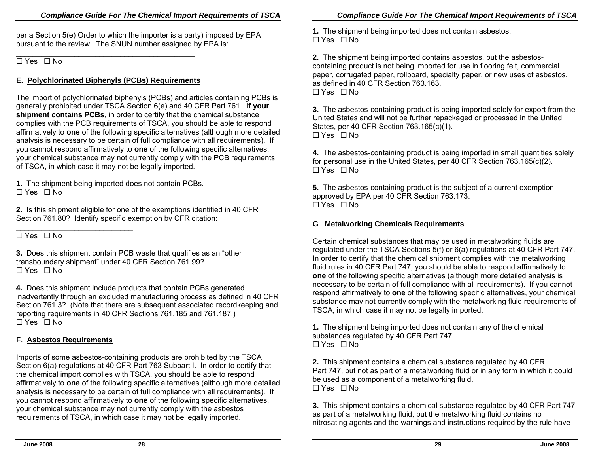per a Section 5(e) Order to which the importer is a party) imposed by EPA pursuant to the review. The SNUN number assigned by EPA is:

\_\_\_\_\_\_\_\_\_\_\_\_\_\_\_\_\_\_\_\_\_\_\_\_\_\_\_\_\_\_\_\_\_\_\_\_\_\_\_\_\_\_\_  $\Box$  Yes  $\Box$  No

## **E.** Polychlorinated Biphenyls (PCBs) Requirements

The import of polychlorinated biphenyls (PCBs) and articles containing PCBs is generally prohibited under TSCA Section 6(e) and 4 0 CFR Part 761. **If your shipment contains PCBs**, in order to certify that the chemical substance complies with the PCB requirements of TSCA, you should b e able to respond affirmatively to **one** of the followin g specific alternatives (although m ore detailed analysis is n e c essary to be certain of full compliance with all requirements). If you cannot respond affirmatively to **one** of the followin g spe cific alternatives, your chemi cal substance may not currently comply with the PCB requirements of TSCA, in which case it may not be leg ally imported.

**1.** The shipment being imp orted does not contain PCBs.  $\Box$  Yes  $\Box$  No

**2.** Is this shipment eligible for one of the exemptions identified in 4 0 CFR Section 761.80? Identify specifi c exemption by CFR citation:

\_\_\_\_\_\_\_\_\_\_\_\_\_\_\_\_\_\_\_\_\_\_\_\_\_\_\_\_  $\Box$  Yes  $\Box$  No

**3.** Does this shipment contain PCB waste that qualifies as an "other transboundary shipment" under 4 0 CFR Section 761.99?  $\Box$  Yes  $\Box$  No

**4.** Does this shipment include products that contain P CBs generated inadvertently through an excluded manufacturing pro cess as defined in 40 CFR Section 761.3? (Note that there are subsequent associated recordkeepin g and reporting requirements in 40 CFR Sections 761.185 and 761.187.)  $\Box$  Yes  $\Box$  No

## **F**. **Asbestos Requireme nts**

Imports of some asb estos-containing products are prohibited by the TSCA Section 6(a) regulations at 40 CFR Part 763 Subpart I. In order to certify that the chemi cal i mport complies with TSCA, you should be able to respond affirmatively to **one** of the followin g specific alternatives (although m ore detailed analysis is n e c essary to be certain of full compliance with all requirements). If you cannot respond affirmatively to **one** of the followin g spe cific alternatives, your chemi c al substan ce may not currently comply with the asbestos requirements of TSCA, in which case it may not be leg ally imported.

**1.** The shipment being imp orted does not contain asbestos.  $\Box$  Yes  $\Box$  No

**2.** The shipment being imp orted contains asbestos, but the asbestoscontaining product is not b eing imported for use in flo oring felt, commercial paper, corrugated paper, rollboard, specialty paper, or new uses of asbestos, as defined in 40 CFR Section 763.163.  $\Box$  Yes  $\Box$  No

**3.** The asbestos-containing product is b eing imported solely for export from the United States and will not be further repackaged or processed in the United States, per 4 0 CFR Section 763.165(c)(1).  $\Box$  Yes  $\Box$  No

**4.** The asbestos-containing product is being imported in small quantities solely for personal use in the United States, per 40 CFR Section 763.165(c)(2).  $\Box$  Yes  $\Box$  No

**5.** The asbestos-containing product is the subject of a current exemption approved by EPA per 40 CFR Section 763.173.  $\Box$  Yes  $\Box$  No

## **G**. **Metal working Chemicals Requir ements**

Certain chemical substances that may be used in metalworking fluids are regulated un der the TSCA Sections 5(f) or 6(a) regul ations at 40 CFR Part 747. In order to certify that the chemical shipment complies with the metalworking fluid rules in 40 CFR Part 747, you sh ould be able to respond affirmatively to **one** of the following specific alternatives (although more detailed analysis is necessary to be certain of full compliance with all requirements). If you cannot respond affirmatively to **one** of the following specific alternatives, your chemical substan ce m ay not currently comply with the metalworking fluid requirements of TSCA, in whi ch case it may not be legally imported.

**1.** The shipment being imported does not contain any of the chemical substances regulate d by 40 CFR Part 747.  $\Box$  Yes  $\Box$  No

**2.** This shi pment contains a chemical substan ce regulated by 40 CFR Part 747, but not as part of a metalworking fluid or in any form in which it could be used as a component of a metalworking fluid.  $\Box$  Yes  $\Box$  No

**3.** This shi pment contains a chemical substan ce regulated by 40 CFR Part 747 as part of a metalworking fluid, but the metalworking fluid contains no nitrosating agents and the warnings and instructions required by the rule have